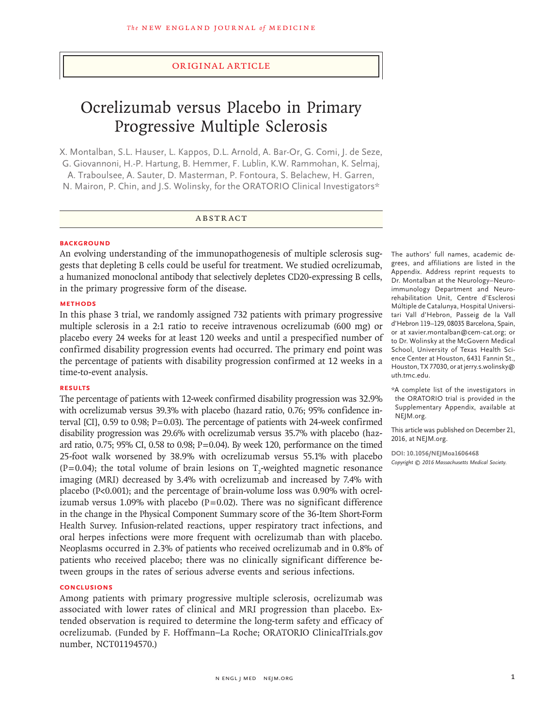## Original Article

# Ocrelizumab versus Placebo in Primary Progressive Multiple Sclerosis

X. Montalban, S.L. Hauser, L. Kappos, D.L. Arnold, A. Bar-Or, G. Comi, J. de Seze, G. Giovannoni, H.-P. Hartung, B. Hemmer, F. Lublin, K.W. Rammohan, K. Selmaj, A. Traboulsee, A. Sauter, D. Masterman, P. Fontoura, S. Belachew, H. Garren, N. Mairon, P. Chin, and J.S. Wolinsky, for the ORATORIO Clinical Investigators\*

## ABSTRACT

#### **BACKGROUND**

An evolving understanding of the immunopathogenesis of multiple sclerosis suggests that depleting B cells could be useful for treatment. We studied ocrelizumab, a humanized monoclonal antibody that selectively depletes CD20-expressing B cells, in the primary progressive form of the disease.

#### **METHODS**

In this phase 3 trial, we randomly assigned 732 patients with primary progressive multiple sclerosis in a 2:1 ratio to receive intravenous ocrelizumab (600 mg) or placebo every 24 weeks for at least 120 weeks and until a prespecified number of confirmed disability progression events had occurred. The primary end point was the percentage of patients with disability progression confirmed at 12 weeks in a time-to-event analysis.

# **RESULTS**

The percentage of patients with 12-week confirmed disability progression was 32.9% with ocrelizumab versus 39.3% with placebo (hazard ratio, 0.76; 95% confidence interval [CI], 0.59 to 0.98; P=0.03). The percentage of patients with 24-week confirmed disability progression was 29.6% with ocrelizumab versus 35.7% with placebo (hazard ratio,  $0.75$ ;  $95\%$  CI,  $0.58$  to  $0.98$ ;  $P=0.04$ ). By week 120, performance on the timed 25-foot walk worsened by 38.9% with ocrelizumab versus 55.1% with placebo (P=0.04); the total volume of brain lesions on  $T_2$ -weighted magnetic resonance imaging (MRI) decreased by 3.4% with ocrelizumab and increased by 7.4% with placebo (P<0.001); and the percentage of brain-volume loss was 0.90% with ocrelizumab versus 1.09% with placebo ( $P=0.02$ ). There was no significant difference in the change in the Physical Component Summary score of the 36-Item Short-Form Health Survey. Infusion-related reactions, upper respiratory tract infections, and oral herpes infections were more frequent with ocrelizumab than with placebo. Neoplasms occurred in 2.3% of patients who received ocrelizumab and in 0.8% of patients who received placebo; there was no clinically significant difference between groups in the rates of serious adverse events and serious infections.

#### **CONCLUSIONS**

Among patients with primary progressive multiple sclerosis, ocrelizumab was associated with lower rates of clinical and MRI progression than placebo. Extended observation is required to determine the long-term safety and efficacy of ocrelizumab. (Funded by F. Hoffmann–La Roche; ORATORIO ClinicalTrials.gov number, NCT01194570.)

The authors' full names, academic degrees, and affiliations are listed in the Appendix. Address reprint requests to Dr. Montalban at the Neurology–Neuroimmunology Department and Neurorehabilitation Unit, Centre d'Esclerosi Múltiple de Catalunya, Hospital Universitari Vall d'Hebron, Passeig de la Vall d'Hebron 119–129, 08035 Barcelona, Spain, or at xavier.montalban@cem-cat.org; or to Dr. Wolinsky at the McGovern Medical School, University of Texas Health Science Center at Houston, 6431 Fannin St., Houston, TX 77030, or at jerry.s.wolinsky@ uth.tmc.edu.

\*A complete list of the investigators in the ORATORIO trial is provided in the Supplementary Appendix, available at NEJM.org.

This article was published on December 21, 2016, at NEJM.org.

**DOI: 10.1056/NEJMoa1606468** *Copyright © 2016 Massachusetts Medical Society.*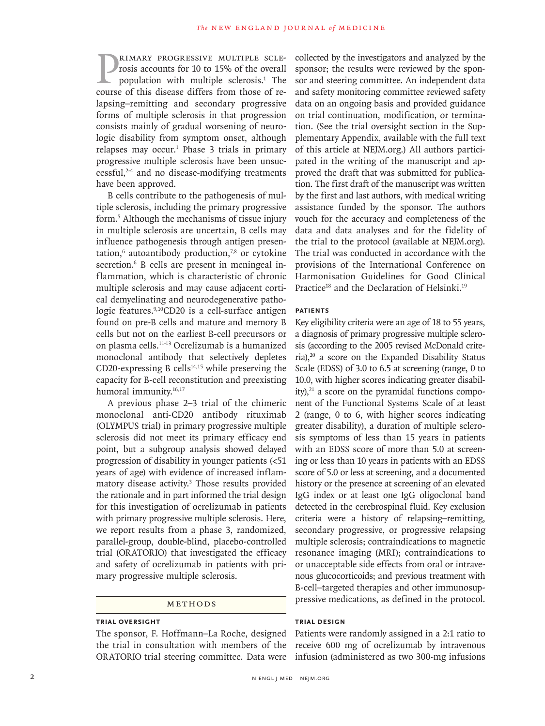**PRIMARY PROGRESSIVE MULTIPLE SCLE-**<br>
rosis accounts for 10 to 15% of the overall<br>
population with multiple sclerosis.<sup>1</sup> The<br>
course of this disease differs from those of rerimary progressive multiple sclerosis accounts for 10 to 15% of the overall population with multiple sclerosis.<sup>1</sup> The lapsing–remitting and secondary progressive forms of multiple sclerosis in that progression consists mainly of gradual worsening of neurologic disability from symptom onset, although relapses may occur.<sup>1</sup> Phase 3 trials in primary progressive multiple sclerosis have been unsuccessful,<sup>2-4</sup> and no disease-modifying treatments have been approved.

B cells contribute to the pathogenesis of multiple sclerosis, including the primary progressive form.5 Although the mechanisms of tissue injury in multiple sclerosis are uncertain, B cells may influence pathogenesis through antigen presen $tation, <sup>6</sup> automatically production, <sup>7,8</sup> or cytokine$ secretion.<sup>6</sup> B cells are present in meningeal inflammation, which is characteristic of chronic multiple sclerosis and may cause adjacent cortical demyelinating and neurodegenerative pathologic features.<sup>9,10</sup>CD20 is a cell-surface antigen found on pre-B cells and mature and memory B cells but not on the earliest B-cell precursors or on plasma cells.11-13 Ocrelizumab is a humanized monoclonal antibody that selectively depletes CD20-expressing B cells $14,15$  while preserving the capacity for B-cell reconstitution and preexisting humoral immunity.<sup>16,17</sup>

A previous phase 2–3 trial of the chimeric monoclonal anti-CD20 antibody rituximab (OLYMPUS trial) in primary progressive multiple sclerosis did not meet its primary efficacy end point, but a subgroup analysis showed delayed progression of disability in younger patients (<51 years of age) with evidence of increased inflammatory disease activity.<sup>3</sup> Those results provided the rationale and in part informed the trial design for this investigation of ocrelizumab in patients with primary progressive multiple sclerosis. Here, we report results from a phase 3, randomized, parallel-group, double-blind, placebo-controlled trial (ORATORIO) that investigated the efficacy and safety of ocrelizumab in patients with primary progressive multiple sclerosis.

#### Methods

## **Trial Oversight**

The sponsor, F. Hoffmann–La Roche, designed the trial in consultation with members of the ORATORIO trial steering committee. Data were

collected by the investigators and analyzed by the sponsor; the results were reviewed by the sponsor and steering committee. An independent data and safety monitoring committee reviewed safety data on an ongoing basis and provided guidance on trial continuation, modification, or termination. (See the trial oversight section in the Supplementary Appendix, available with the full text of this article at NEJM.org.) All authors participated in the writing of the manuscript and approved the draft that was submitted for publication. The first draft of the manuscript was written by the first and last authors, with medical writing assistance funded by the sponsor. The authors vouch for the accuracy and completeness of the data and data analyses and for the fidelity of the trial to the protocol (available at NEJM.org). The trial was conducted in accordance with the provisions of the International Conference on Harmonisation Guidelines for Good Clinical Practice<sup>18</sup> and the Declaration of Helsinki.<sup>19</sup>

# **Patients**

Key eligibility criteria were an age of 18 to 55 years, a diagnosis of primary progressive multiple sclerosis (according to the 2005 revised McDonald criteria),<sup>20</sup> a score on the Expanded Disability Status Scale (EDSS) of 3.0 to 6.5 at screening (range, 0 to 10.0, with higher scores indicating greater disability), $^{21}$  a score on the pyramidal functions component of the Functional Systems Scale of at least 2 (range, 0 to 6, with higher scores indicating greater disability), a duration of multiple sclerosis symptoms of less than 15 years in patients with an EDSS score of more than 5.0 at screening or less than 10 years in patients with an EDSS score of 5.0 or less at screening, and a documented history or the presence at screening of an elevated IgG index or at least one IgG oligoclonal band detected in the cerebrospinal fluid. Key exclusion criteria were a history of relapsing–remitting, secondary progressive, or progressive relapsing multiple sclerosis; contraindications to magnetic resonance imaging (MRI); contraindications to or unacceptable side effects from oral or intravenous glucocorticoids; and previous treatment with B-cell–targeted therapies and other immunosuppressive medications, as defined in the protocol.

# **Trial Design**

Patients were randomly assigned in a 2:1 ratio to receive 600 mg of ocrelizumab by intravenous infusion (administered as two 300-mg infusions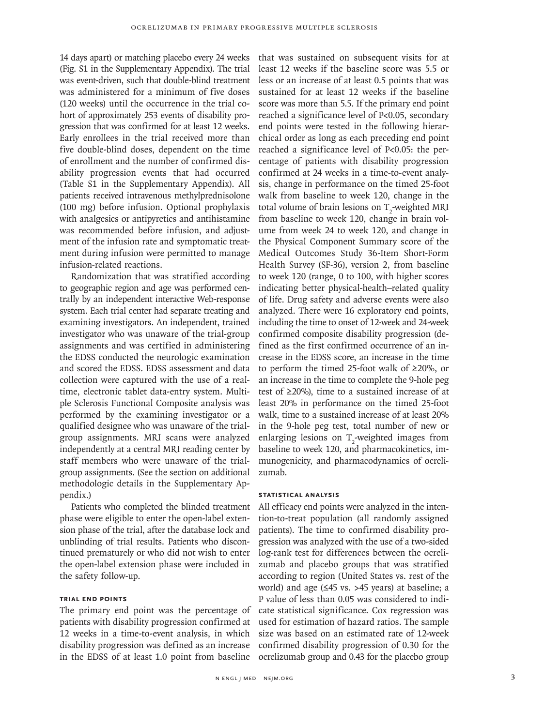14 days apart) or matching placebo every 24 weeks (Fig. S1 in the Supplementary Appendix). The trial was event-driven, such that double-blind treatment was administered for a minimum of five doses (120 weeks) until the occurrence in the trial cohort of approximately 253 events of disability progression that was confirmed for at least 12 weeks. Early enrollees in the trial received more than five double-blind doses, dependent on the time of enrollment and the number of confirmed disability progression events that had occurred (Table S1 in the Supplementary Appendix). All patients received intravenous methylprednisolone (100 mg) before infusion. Optional prophylaxis with analgesics or antipyretics and antihistamine was recommended before infusion, and adjustment of the infusion rate and symptomatic treatment during infusion were permitted to manage infusion-related reactions.

Randomization that was stratified according to geographic region and age was performed centrally by an independent interactive Web-response system. Each trial center had separate treating and examining investigators. An independent, trained investigator who was unaware of the trial-group assignments and was certified in administering the EDSS conducted the neurologic examination and scored the EDSS. EDSS assessment and data collection were captured with the use of a realtime, electronic tablet data-entry system. Multiple Sclerosis Functional Composite analysis was performed by the examining investigator or a qualified designee who was unaware of the trialgroup assignments. MRI scans were analyzed independently at a central MRI reading center by staff members who were unaware of the trialgroup assignments. (See the section on additional methodologic details in the Supplementary Appendix.)

Patients who completed the blinded treatment phase were eligible to enter the open-label extension phase of the trial, after the database lock and unblinding of trial results. Patients who discontinued prematurely or who did not wish to enter the open-label extension phase were included in the safety follow-up.

# **Trial End Points**

The primary end point was the percentage of patients with disability progression confirmed at 12 weeks in a time-to-event analysis, in which disability progression was defined as an increase in the EDSS of at least 1.0 point from baseline

that was sustained on subsequent visits for at least 12 weeks if the baseline score was 5.5 or less or an increase of at least 0.5 points that was sustained for at least 12 weeks if the baseline score was more than 5.5. If the primary end point reached a significance level of P<0.05, secondary end points were tested in the following hierarchical order as long as each preceding end point reached a significance level of P<0.05: the percentage of patients with disability progression confirmed at 24 weeks in a time-to-event analysis, change in performance on the timed 25-foot walk from baseline to week 120, change in the total volume of brain lesions on  $T_2$ -weighted MRI from baseline to week 120, change in brain volume from week 24 to week 120, and change in the Physical Component Summary score of the Medical Outcomes Study 36-Item Short-Form Health Survey (SF-36), version 2, from baseline to week 120 (range, 0 to 100, with higher scores indicating better physical-health–related quality of life. Drug safety and adverse events were also analyzed. There were 16 exploratory end points, including the time to onset of 12-week and 24-week confirmed composite disability progression (defined as the first confirmed occurrence of an increase in the EDSS score, an increase in the time to perform the timed 25-foot walk of ≥20%, or an increase in the time to complete the 9-hole peg test of ≥20%), time to a sustained increase of at least 20% in performance on the timed 25-foot walk, time to a sustained increase of at least 20% in the 9-hole peg test, total number of new or enlarging lesions on  $T_2$ -weighted images from baseline to week 120, and pharmacokinetics, immunogenicity, and pharmacodynamics of ocrelizumab.

#### **Statistical Analysis**

All efficacy end points were analyzed in the intention-to-treat population (all randomly assigned patients). The time to confirmed disability progression was analyzed with the use of a two-sided log-rank test for differences between the ocrelizumab and placebo groups that was stratified according to region (United States vs. rest of the world) and age (≤45 vs. >45 years) at baseline; a P value of less than 0.05 was considered to indicate statistical significance. Cox regression was used for estimation of hazard ratios. The sample size was based on an estimated rate of 12-week confirmed disability progression of 0.30 for the ocrelizumab group and 0.43 for the placebo group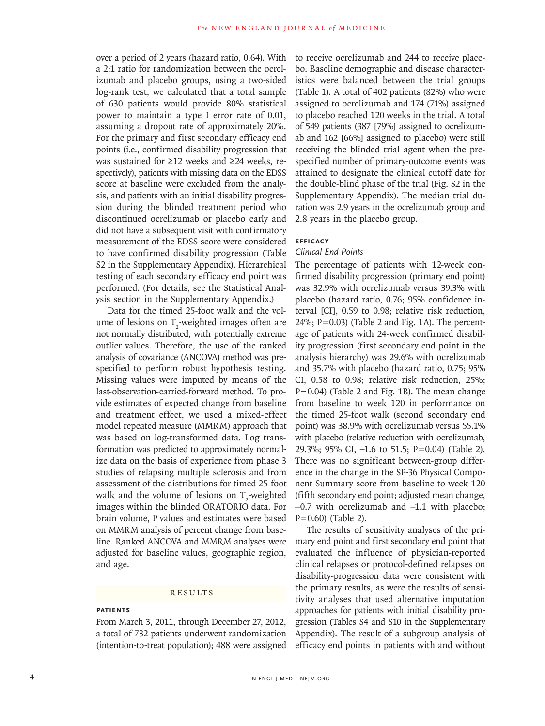over a period of 2 years (hazard ratio, 0.64). With a 2:1 ratio for randomization between the ocrelizumab and placebo groups, using a two-sided log-rank test, we calculated that a total sample of 630 patients would provide 80% statistical power to maintain a type I error rate of 0.01, assuming a dropout rate of approximately 20%. For the primary and first secondary efficacy end points (i.e., confirmed disability progression that was sustained for ≥12 weeks and ≥24 weeks, respectively), patients with missing data on the EDSS score at baseline were excluded from the analysis, and patients with an initial disability progression during the blinded treatment period who discontinued ocrelizumab or placebo early and did not have a subsequent visit with confirmatory measurement of the EDSS score were considered to have confirmed disability progression (Table S2 in the Supplementary Appendix). Hierarchical testing of each secondary efficacy end point was performed. (For details, see the Statistical Analysis section in the Supplementary Appendix.)

Data for the timed 25-foot walk and the volume of lesions on  $T_2$ -weighted images often are not normally distributed, with potentially extreme outlier values. Therefore, the use of the ranked analysis of covariance (ANCOVA) method was prespecified to perform robust hypothesis testing. Missing values were imputed by means of the last-observation-carried-forward method. To provide estimates of expected change from baseline and treatment effect, we used a mixed-effect model repeated measure (MMRM) approach that was based on log-transformed data. Log transformation was predicted to approximately normalize data on the basis of experience from phase 3 studies of relapsing multiple sclerosis and from assessment of the distributions for timed 25-foot walk and the volume of lesions on  $T_2$ -weighted images within the blinded ORATORIO data. For brain volume, P values and estimates were based on MMRM analysis of percent change from baseline. Ranked ANCOVA and MMRM analyses were adjusted for baseline values, geographic region, and age.

# **RESULTS**

## **Patients**

From March 3, 2011, through December 27, 2012, a total of 732 patients underwent randomization (intention-to-treat population); 488 were assigned to receive ocrelizumab and 244 to receive placebo. Baseline demographic and disease characteristics were balanced between the trial groups (Table 1). A total of 402 patients (82%) who were assigned to ocrelizumab and 174 (71%) assigned to placebo reached 120 weeks in the trial. A total of 549 patients (387 [79%] assigned to ocrelizumab and 162 [66%] assigned to placebo) were still receiving the blinded trial agent when the prespecified number of primary-outcome events was attained to designate the clinical cutoff date for the double-blind phase of the trial (Fig. S2 in the Supplementary Appendix). The median trial duration was 2.9 years in the ocrelizumab group and 2.8 years in the placebo group.

# **Efficacy**

# *Clinical End Points*

The percentage of patients with 12-week confirmed disability progression (primary end point) was 32.9% with ocrelizumab versus 39.3% with placebo (hazard ratio, 0.76; 95% confidence interval [CI], 0.59 to 0.98; relative risk reduction,  $24\%$ ; P=0.03) (Table 2 and Fig. 1A). The percentage of patients with 24-week confirmed disability progression (first secondary end point in the analysis hierarchy) was 29.6% with ocrelizumab and 35.7% with placebo (hazard ratio, 0.75; 95% CI, 0.58 to 0.98; relative risk reduction, 25%; P=0.04) (Table 2 and Fig. 1B). The mean change from baseline to week 120 in performance on the timed 25-foot walk (second secondary end point) was 38.9% with ocrelizumab versus 55.1% with placebo (relative reduction with ocrelizumab, 29.3%; 95% CI, –1.6 to 51.5; P=0.04) (Table 2). There was no significant between-group difference in the change in the SF-36 Physical Component Summary score from baseline to week 120 (fifth secondary end point; adjusted mean change, –0.7 with ocrelizumab and –1.1 with placebo;  $P=0.60$  (Table 2).

The results of sensitivity analyses of the primary end point and first secondary end point that evaluated the influence of physician-reported clinical relapses or protocol-defined relapses on disability-progression data were consistent with the primary results, as were the results of sensitivity analyses that used alternative imputation approaches for patients with initial disability progression (Tables S4 and S10 in the Supplementary Appendix). The result of a subgroup analysis of efficacy end points in patients with and without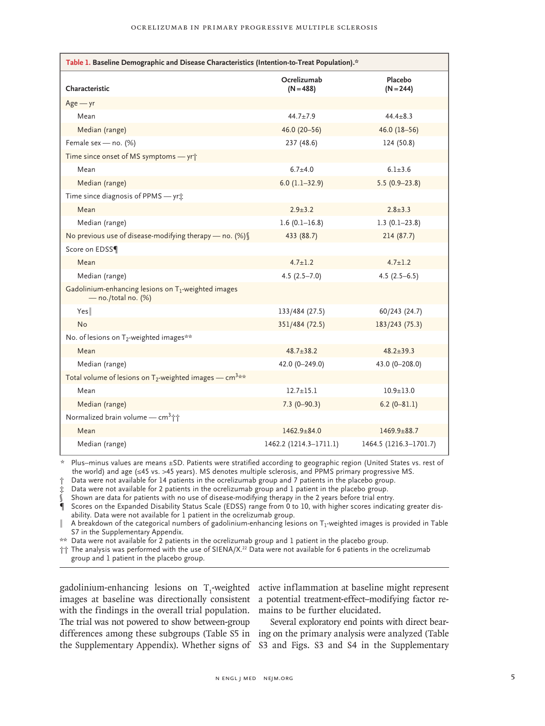| Table 1. Baseline Demographic and Disease Characteristics (Intention-to-Treat Population).* |                            |                        |  |
|---------------------------------------------------------------------------------------------|----------------------------|------------------------|--|
| Characteristic                                                                              | Ocrelizumab<br>$(N = 488)$ | Placebo<br>$(N = 244)$ |  |
| $Age - yr$                                                                                  |                            |                        |  |
| Mean                                                                                        | $44.7 + 7.9$               | $44.4 + 8.3$           |  |
| Median (range)                                                                              | $46.0(20 - 56)$            | $46.0(18-56)$          |  |
| Female sex - no. (%)                                                                        | 237 (48.6)                 | 124 (50.8)             |  |
| Time since onset of MS symptoms - yr <sup>+</sup>                                           |                            |                        |  |
| Mean                                                                                        | $6.7 + 4.0$                | $6.1 + 3.6$            |  |
| Median (range)                                                                              | $6.0(1.1-32.9)$            | $5.5(0.9-23.8)$        |  |
| Time since diagnosis of PPMS - yrt                                                          |                            |                        |  |
| Mean                                                                                        | $2.9 + 3.2$                | $2.8 + 3.3$            |  |
| Median (range)                                                                              | $1.6(0.1-16.8)$            | 1.3 $(0.1 - 23.8)$     |  |
| No previous use of disease-modifying therapy - no. $(\%)$                                   | 433 (88.7)                 | 214(87.7)              |  |
| Score on EDSS                                                                               |                            |                        |  |
| Mean                                                                                        | $4.7 + 1.2$                | $4.7 + 1.2$            |  |
| Median (range)                                                                              | $4.5(2.5 - 7.0)$           | $4.5(2.5-6.5)$         |  |
| Gadolinium-enhancing lesions on $T_1$ -weighted images<br>$-$ no./total no. (%)             |                            |                        |  |
| Yes                                                                                         | 133/484 (27.5)             | 60/243 (24.7)          |  |
| <b>No</b>                                                                                   | 351/484 (72.5)             | 183/243 (75.3)         |  |
| No. of lesions on T <sub>2</sub> -weighted images**                                         |                            |                        |  |
| Mean                                                                                        | $48.7 + 38.2$              | $48.2 + 39.3$          |  |
| Median (range)                                                                              | 42.0 (0-249.0)             | 43.0 (0-208.0)         |  |
| Total volume of lesions on $T_2$ -weighted images — cm <sup>3</sup> **                      |                            |                        |  |
| Mean                                                                                        | $12.7 + 15.1$              | $10.9 + 13.0$          |  |
| Median (range)                                                                              | $7.3(0-90.3)$              | $6.2(0-81.1)$          |  |
| Normalized brain volume - cm <sup>3</sup> ††                                                |                            |                        |  |
| Mean                                                                                        | $1462.9 \pm 84.0$          | $1469.9 \pm 88.7$      |  |
| Median (range)                                                                              | 1462.2 (1214.3-1711.1)     | 1464.5 (1216.3-1701.7) |  |

\* Plus–minus values are means ±SD. Patients were stratified according to geographic region (United States vs. rest of the world) and age (≤45 vs. >45 years). MS denotes multiple sclerosis, and PPMS primary progressive MS.

† Data were not available for 14 patients in the ocrelizumab group and 7 patients in the placebo group.

 $\dot{\mathbf{r}}$  Data were not available for 2 patients in the ocrelizumab group and 1 patient in the placebo group.

§ Shown are data for patients with no use of disease-modifying therapy in the 2 years before trial entry.

¶ Scores on the Expanded Disability Status Scale (EDSS) range from 0 to 10, with higher scores indicating greater disability. Data were not available for 1 patient in the ocrelizumab group.

A breakdown of the categorical numbers of gadolinium-enhancing lesions on  $T_1$ -weighted images is provided in Table S7 in the Supplementary Appendix.

\*\* Data were not available for 2 patients in the ocrelizumab group and 1 patient in the placebo group.

†† The analysis was performed with the use of SIENA/X.22 Data were not available for 6 patients in the ocrelizumab

group and 1 patient in the placebo group.

images at baseline was directionally consistent a potential treatment-effect–modifying factor rewith the findings in the overall trial population. mains to be further elucidated. The trial was not powered to show between-group the Supplementary Appendix). Whether signs of S3 and Figs. S3 and S4 in the Supplementary

gadolinium-enhancing lesions on T<sub>1</sub>-weighted active inflammation at baseline might represent

differences among these subgroups (Table S5 in ing on the primary analysis were analyzed (Table Several exploratory end points with direct bear-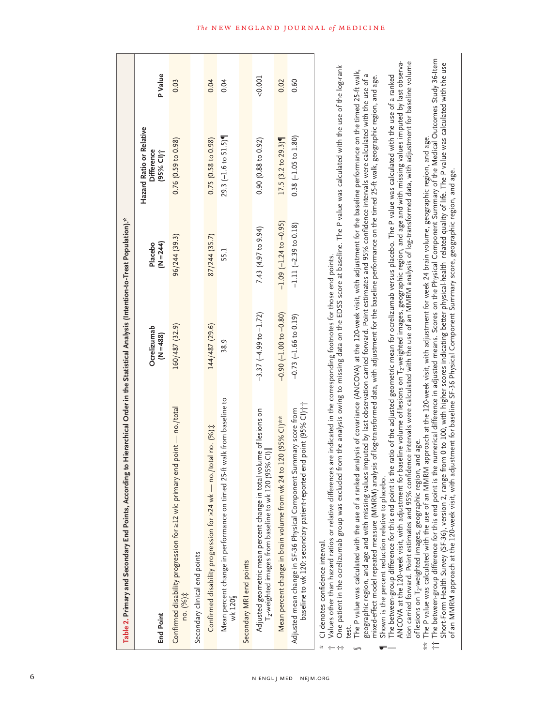| Table 2. Primary and Secondary End Points, According to Hierarchical Order in the Statistical Analysis (Intention-to-Treat Population)."                                                                                                                                                                                                                                                                                                                                                                                                                                                                                                                                                                                                                                                                                                                                                                                                                                                                |                                |                              |                                                                                                                                     |         |
|---------------------------------------------------------------------------------------------------------------------------------------------------------------------------------------------------------------------------------------------------------------------------------------------------------------------------------------------------------------------------------------------------------------------------------------------------------------------------------------------------------------------------------------------------------------------------------------------------------------------------------------------------------------------------------------------------------------------------------------------------------------------------------------------------------------------------------------------------------------------------------------------------------------------------------------------------------------------------------------------------------|--------------------------------|------------------------------|-------------------------------------------------------------------------------------------------------------------------------------|---------|
| <b>End Point</b>                                                                                                                                                                                                                                                                                                                                                                                                                                                                                                                                                                                                                                                                                                                                                                                                                                                                                                                                                                                        | Ocrelizumab<br>$(N = 488)$     | $(N=244)$<br>Placebo         | Hazard Ratio or Relative<br><b>Difference</b><br>(95% Cl);                                                                          | P Value |
| Confirmed disability progression for 212 wk: primary end point - no./total<br>no. (%) :                                                                                                                                                                                                                                                                                                                                                                                                                                                                                                                                                                                                                                                                                                                                                                                                                                                                                                                 | 160/487 (32.9)                 | 96/244 (39.3)                | 0.76(0.59 to 0.98)                                                                                                                  | 0.03    |
| Secondary clinical end points                                                                                                                                                                                                                                                                                                                                                                                                                                                                                                                                                                                                                                                                                                                                                                                                                                                                                                                                                                           |                                |                              |                                                                                                                                     |         |
| Confirmed disability progression for $\simeq$ 24 wk — no./total no. (%) $\ddot{\tau}$                                                                                                                                                                                                                                                                                                                                                                                                                                                                                                                                                                                                                                                                                                                                                                                                                                                                                                                   | 144/487 (29.6)                 | 87/244 (35.7)                | 0.75(0.58 to 0.98)                                                                                                                  | 0.04    |
| Mean percent change in performance on timed 25-ft walk from baseline to<br>wk 120                                                                                                                                                                                                                                                                                                                                                                                                                                                                                                                                                                                                                                                                                                                                                                                                                                                                                                                       | 38.9                           | 55.1                         | $29.3$ (-1.6 to 51.5)                                                                                                               | 0.04    |
| Secondary MRI end points                                                                                                                                                                                                                                                                                                                                                                                                                                                                                                                                                                                                                                                                                                                                                                                                                                                                                                                                                                                |                                |                              |                                                                                                                                     |         |
| Adjusted geometric mean percent change in total volume of lesions on<br>$T_2$ -weighted images from baseline to wk 120 (95% CI)                                                                                                                                                                                                                                                                                                                                                                                                                                                                                                                                                                                                                                                                                                                                                                                                                                                                         | $-3.37$ ( $-4.99$ to $-1.72$ ) | 7.43 (4.97 to 9.94)          | 0.90(0.88 to 0.92)                                                                                                                  | 0.001   |
| Mean percent change in brain volume from wk 24 to 120 (95% CI)**                                                                                                                                                                                                                                                                                                                                                                                                                                                                                                                                                                                                                                                                                                                                                                                                                                                                                                                                        | $-0.90$ $(-1.00$ to $-0.80)$   | $-1.09$ $(-1.24$ to $-0.95)$ | 17.5 (3.2 to 29.3)                                                                                                                  | 0.02    |
| baseline to wk 120: secondary patient-reported end point (95% CI) $\uparrow\uparrow$<br>Adjusted mean change in SF-36 Physical Component Summary score from                                                                                                                                                                                                                                                                                                                                                                                                                                                                                                                                                                                                                                                                                                                                                                                                                                             | $-0.73$ $(-1.66$ to $0.19)$    | $-1.11$ $(-2.39$ to 0.18)    | $0.38 (-1.05 to 1.80)$                                                                                                              | 0.60    |
| ences are indicated in the corresponding footnotes for those end points.<br>Values other than hazard ratios or relative differ<br>One patient in the ocrelizumab group was exclu<br>CI denotes confidence interval.<br>∗                                                                                                                                                                                                                                                                                                                                                                                                                                                                                                                                                                                                                                                                                                                                                                                |                                |                              | uded from the analysis owing to missing data on the EDSS score at baseline. The P value was calculated with the use of the log-rank |         |
| The P value was calculated with the use of a ranked analysis of covariance (ANCOVA) at the 120-week visit, with adjustment for the baseline performance on the timed 25-ft walk,<br>geographic region, and age and with missing values imputed by last observation carried forward. Point estimates and 95% confidence intervals were calculated with the use of a<br>mixed-effect model repeated measure (MMRM)                                                                                                                                                                                                                                                                                                                                                                                                                                                                                                                                                                                        |                                |                              | analysis of log-transformed data, with adjustment for the baseline performance on the timed 25-ft walk, geographic region, and age. |         |
| ANCOVA at the 120-week visit, with adjustment for baseline volume of lesions on T3-weighted images, geographic region, and age and with missing values imputed by last observa-<br>Shown is the percent reduction relative to placebo.<br>The between-group difference for this end point                                                                                                                                                                                                                                                                                                                                                                                                                                                                                                                                                                                                                                                                                                               |                                |                              | i is the ratio of the adjusted geometric mean for ocrelizumab versus placebo. The P value was calculated with the use of a ranked   |         |
| in The between group difference for this end point is the numerical difference in adjusted means. Scores on the Physical Component Summary of the Medical Outcomes Study 36-Item (1980), 1986, 1987 (1988), 1988, 1988, 1988,<br>tion carried forward. Point estimates and 95% confidence intervals were calculated with the use of an MMRM analysis of log-transformed data, with adjustment for baseline volume<br>Short-Form Health Survey (SF-36), version 2, range from 0 to 100, with higher scores indicating better physical-health-related quality of life. The P value was calculated with the use<br>The P value was calculated with the use of an MMRM approach at the 120-week visit, with adjustment for week 24 brain volume, geographic region, and age.<br>of an MMRM approach at the 120-week visit, with adjustment for baseline SF-36 Physical Component Summary score, geographic region, and age.<br>egion, and age.<br>of lesions on T2-weighted images, geographic re<br>.<br>装 |                                |                              |                                                                                                                                     |         |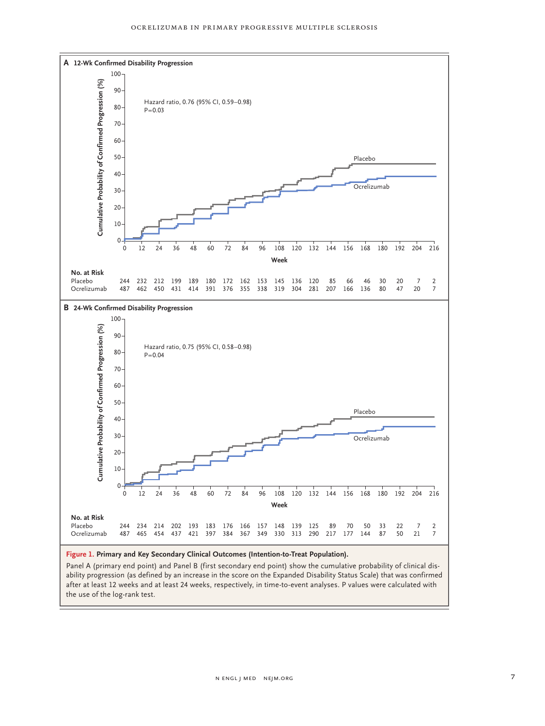

#### **Figure 1. Primary and Key Secondary Clinical Outcomes (Intention-to-Treat Population).**

Panel A (primary end point) and Panel B (first secondary end point) show the cumulative probability of clinical disability progression (as defined by an increase in the score on the Expanded Disability Status Scale) that was confirmed after at least 12 weeks and at least 24 weeks, respectively, in time-to-event analyses. P values were calculated with the use of the log-rank test.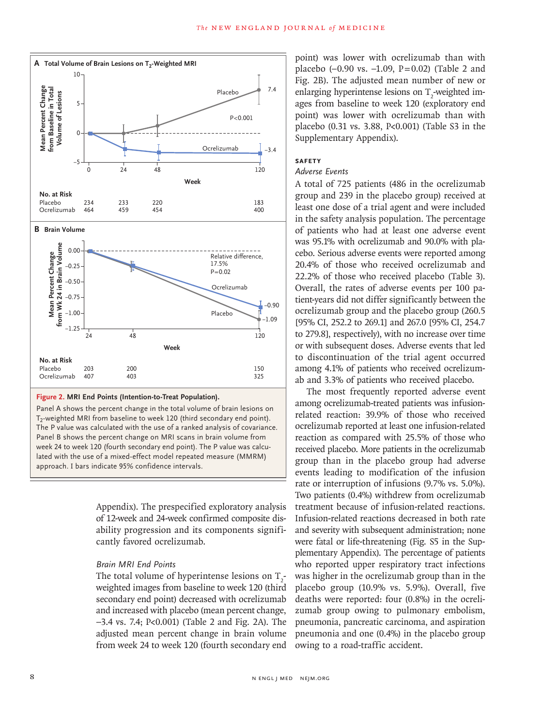

#### **Figure 2. MRI End Points (Intention-to-Treat Population).**

Panel A shows the percent change in the total volume of brain lesions on T2-weighted MRI from baseline to week 120 (third secondary end point). The P value was calculated with the use of a ranked analysis of covariance. Panel B shows the percent change on MRI scans in brain volume from week 24 to week 120 (fourth secondary end point). The P value was calculated with the use of a mixed-effect model repeated measure (MMRM)

> Appendix). The prespecified exploratory analysis of 12-week and 24-week confirmed composite disability progression and its components significantly favored ocrelizumab.

# *Brain MRI End Points*

The total volume of hyperintense lesions on  $T_2$ weighted images from baseline to week 120 (third secondary end point) decreased with ocrelizumab and increased with placebo (mean percent change, −3.4 vs. 7.4; P<0.001) (Table 2 and Fig. 2A). The adjusted mean percent change in brain volume from week 24 to week 120 (fourth secondary end point) was lower with ocrelizumab than with placebo  $(-0.90 \text{ vs. } -1.09, \text{ P}=0.02)$  (Table 2 and Fig. 2B). The adjusted mean number of new or enlarging hyperintense lesions on  $T_2$ -weighted images from baseline to week 120 (exploratory end point) was lower with ocrelizumab than with placebo (0.31 vs. 3.88, P<0.001) (Table S3 in the Supplementary Appendix).

#### **Safety**

# *Adverse Events*

A total of 725 patients (486 in the ocrelizumab group and 239 in the placebo group) received at least one dose of a trial agent and were included in the safety analysis population. The percentage of patients who had at least one adverse event was 95.1% with ocrelizumab and 90.0% with placebo. Serious adverse events were reported among 20.4% of those who received ocrelizumab and 22.2% of those who received placebo (Table 3). Overall, the rates of adverse events per 100 patient-years did not differ significantly between the ocrelizumab group and the placebo group (260.5 [95% CI, 252.2 to 269.1] and 267.0 [95% CI, 254.7 to 279.8], respectively), with no increase over time or with subsequent doses. Adverse events that led to discontinuation of the trial agent occurred among 4.1% of patients who received ocrelizumab and 3.3% of patients who received placebo.

The most frequently reported adverse event among ocrelizumab-treated patients was infusionrelated reaction: 39.9% of those who received ocrelizumab reported at least one infusion-related reaction as compared with 25.5% of those who received placebo. More patients in the ocrelizumab group than in the placebo group had adverse events leading to modification of the infusion rate or interruption of infusions (9.7% vs. 5.0%). Two patients (0.4%) withdrew from ocrelizumab treatment because of infusion-related reactions. Infusion-related reactions decreased in both rate and severity with subsequent administration; none were fatal or life-threatening (Fig. S5 in the Supplementary Appendix). The percentage of patients who reported upper respiratory tract infections was higher in the ocrelizumab group than in the placebo group (10.9% vs. 5.9%). Overall, five deaths were reported: four (0.8%) in the ocrelizumab group owing to pulmonary embolism, pneumonia, pancreatic carcinoma, and aspiration pneumonia and one (0.4%) in the placebo group owing to a road-traffic accident.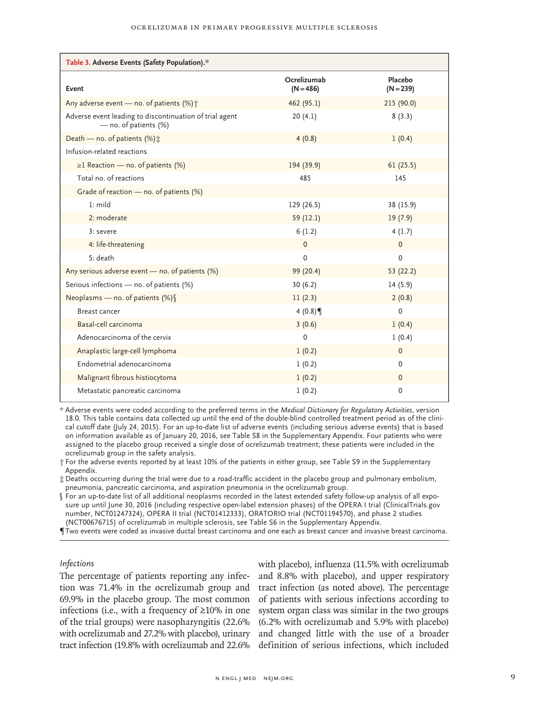| Table 3. Adverse Events (Safety Population).*                                        |                            |                        |
|--------------------------------------------------------------------------------------|----------------------------|------------------------|
| Event                                                                                | Ocrelizumab<br>$(N = 486)$ | Placebo<br>$(N = 239)$ |
| Any adverse event - no. of patients (%) +                                            | 462 (95.1)                 | 215 (90.0)             |
| Adverse event leading to discontinuation of trial agent<br>$-$ no. of patients $(%)$ | 20(4.1)                    | 8(3.3)                 |
| Death - no. of patients $(\%)$ :                                                     | 4(0.8)                     | 1(0.4)                 |
| Infusion-related reactions                                                           |                            |                        |
| $\geq$ 1 Reaction — no. of patients (%)                                              | 194(39.9)                  | 61(25.5)               |
| Total no. of reactions                                                               | 485                        | 145                    |
| Grade of reaction - no. of patients (%)                                              |                            |                        |
| $1:$ mild                                                                            | 129 (26.5)                 | 38 (15.9)              |
| 2: moderate                                                                          | 59 (12.1)                  | 19(7.9)                |
| 3: severe                                                                            | 6(1.2)                     | 4(1.7)                 |
| 4: life-threatening                                                                  | $\mathbf{0}$               | $\Omega$               |
| 5: death                                                                             | $\mathbf 0$                | $\mathbf 0$            |
| Any serious adverse event - no. of patients (%)                                      | 99 (20.4)                  | 53(22.2)               |
| Serious infections - no. of patients (%)                                             | 30(6.2)                    | 14(5.9)                |
| Neoplasms - no. of patients (%) §                                                    | 11(2.3)                    | 2(0.8)                 |
| Breast cancer                                                                        | 4 $(0.8)$                  | $\Omega$               |
| Basal-cell carcinoma                                                                 | 3(0.6)                     | 1(0.4)                 |
| Adenocarcinoma of the cervix                                                         | $\Omega$                   | 1(0.4)                 |
| Anaplastic large-cell lymphoma                                                       | 1(0.2)                     | $\mathbf{0}$           |
| Endometrial adenocarcinoma                                                           | 1(0.2)                     | $\Omega$               |
| Malignant fibrous histiocytoma                                                       | 1(0.2)                     | $\Omega$               |
| Metastatic pancreatic carcinoma                                                      | 1(0.2)                     | $\Omega$               |

\* Adverse events were coded according to the preferred terms in the *Medical Dictionary for Regulatory Activities*, version 18.0. This table contains data collected up until the end of the double-blind controlled treatment period as of the clinical cutoff date (July 24, 2015). For an up-to-date list of adverse events (including serious adverse events) that is based on information available as of January 20, 2016, see Table S8 in the Supplementary Appendix. Four patients who were assigned to the placebo group received a single dose of ocrelizumab treatment; these patients were included in the ocrelizumab group in the safety analysis.

† For the adverse events reported by at least 10% of the patients in either group, see Table S9 in the Supplementary Appendix.

‡ Deaths occurring during the trial were due to a road-traffic accident in the placebo group and pulmonary embolism, pneumonia, pancreatic carcinoma, and aspiration pneumonia in the ocrelizumab group.

§ For an up-to-date list of all additional neoplasms recorded in the latest extended safety follow-up analysis of all exposure up until June 30, 2016 (including respective open-label extension phases) of the OPERA I trial (ClinicalTrials.gov number, NCT01247324), OPERA II trial (NCT01412333), ORATORIO trial (NCT01194570), and phase 2 studies (NCT00676715) of ocrelizumab in multiple sclerosis, see Table S6 in the Supplementary Appendix.

¶ Two events were coded as invasive ductal breast carcinoma and one each as breast cancer and invasive breast carcinoma.

#### *Infections*

The percentage of patients reporting any infection was 71.4% in the ocrelizumab group and 69.9% in the placebo group. The most common infections (i.e., with a frequency of  $\geq 10\%$  in one of the trial groups) were nasopharyngitis (22.6% with ocrelizumab and 27.2% with placebo), urinary tract infection (19.8% with ocrelizumab and 22.6%

with placebo), influenza (11.5% with ocrelizumab and 8.8% with placebo), and upper respiratory tract infection (as noted above). The percentage of patients with serious infections according to system organ class was similar in the two groups (6.2% with ocrelizumab and 5.9% with placebo) and changed little with the use of a broader definition of serious infections, which included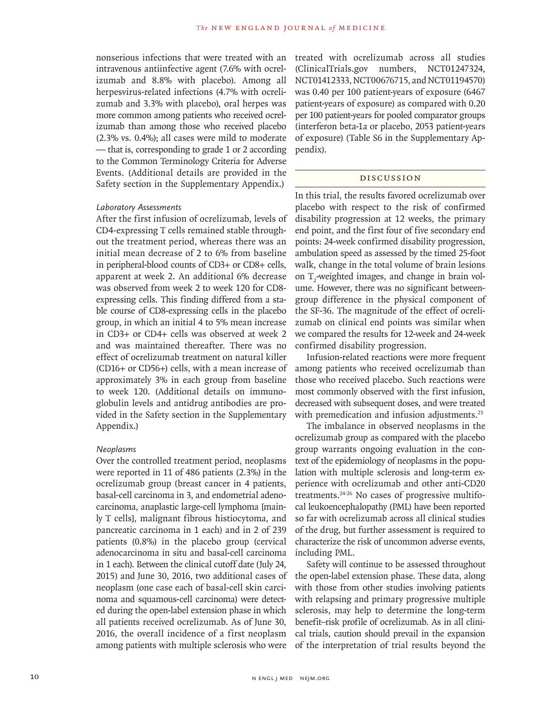nonserious infections that were treated with an intravenous antiinfective agent (7.6% with ocrelizumab and 8.8% with placebo). Among all herpesvirus-related infections (4.7% with ocrelizumab and 3.3% with placebo), oral herpes was more common among patients who received ocrelizumab than among those who received placebo (2.3% vs. 0.4%); all cases were mild to moderate — that is, corresponding to grade 1 or 2 according to the Common Terminology Criteria for Adverse Events. (Additional details are provided in the Safety section in the Supplementary Appendix.)

# *Laboratory Assessments*

After the first infusion of ocrelizumab, levels of CD4-expressing T cells remained stable throughout the treatment period, whereas there was an initial mean decrease of 2 to 6% from baseline in peripheral-blood counts of CD3+ or CD8+ cells, apparent at week 2. An additional 6% decrease was observed from week 2 to week 120 for CD8 expressing cells. This finding differed from a stable course of CD8-expressing cells in the placebo group, in which an initial 4 to 5% mean increase in CD3+ or CD4+ cells was observed at week 2 and was maintained thereafter. There was no effect of ocrelizumab treatment on natural killer (CD16+ or CD56+) cells, with a mean increase of approximately 3% in each group from baseline to week 120. (Additional details on immunoglobulin levels and antidrug antibodies are provided in the Safety section in the Supplementary Appendix.)

# *Neoplasms*

Over the controlled treatment period, neoplasms were reported in 11 of 486 patients (2.3%) in the ocrelizumab group (breast cancer in 4 patients, basal-cell carcinoma in 3, and endometrial adenocarcinoma, anaplastic large-cell lymphoma [mainly T cells], malignant fibrous histiocytoma, and pancreatic carcinoma in 1 each) and in 2 of 239 patients (0.8%) in the placebo group (cervical adenocarcinoma in situ and basal-cell carcinoma in 1 each). Between the clinical cutoff date (July 24, 2015) and June 30, 2016, two additional cases of neoplasm (one case each of basal-cell skin carcinoma and squamous-cell carcinoma) were detected during the open-label extension phase in which all patients received ocrelizumab. As of June 30, 2016, the overall incidence of a first neoplasm among patients with multiple sclerosis who were

treated with ocrelizumab across all studies (ClinicalTrials.gov numbers, NCT01247324, NCT01412333, NCT00676715, and NCT01194570) was 0.40 per 100 patient-years of exposure (6467 patient-years of exposure) as compared with 0.20 per 100 patient-years for pooled comparator groups (interferon beta-1a or placebo, 2053 patient-years of exposure) (Table S6 in the Supplementary Appendix).

# Discussion

In this trial, the results favored ocrelizumab over placebo with respect to the risk of confirmed disability progression at 12 weeks, the primary end point, and the first four of five secondary end points: 24-week confirmed disability progression, ambulation speed as assessed by the timed 25-foot walk, change in the total volume of brain lesions on T<sub>2</sub>-weighted images, and change in brain volume. However, there was no significant betweengroup difference in the physical component of the SF-36. The magnitude of the effect of ocrelizumab on clinical end points was similar when we compared the results for 12-week and 24-week confirmed disability progression.

Infusion-related reactions were more frequent among patients who received ocrelizumab than those who received placebo. Such reactions were most commonly observed with the first infusion, decreased with subsequent doses, and were treated with premedication and infusion adjustments.<sup>23</sup>

The imbalance in observed neoplasms in the ocrelizumab group as compared with the placebo group warrants ongoing evaluation in the context of the epidemiology of neoplasms in the population with multiple sclerosis and long-term experience with ocrelizumab and other anti-CD20 treatments.24-26 No cases of progressive multifocal leukoencephalopathy (PML) have been reported so far with ocrelizumab across all clinical studies of the drug, but further assessment is required to characterize the risk of uncommon adverse events, including PML.

Safety will continue to be assessed throughout the open-label extension phase. These data, along with those from other studies involving patients with relapsing and primary progressive multiple sclerosis, may help to determine the long-term benefit–risk profile of ocrelizumab. As in all clinical trials, caution should prevail in the expansion of the interpretation of trial results beyond the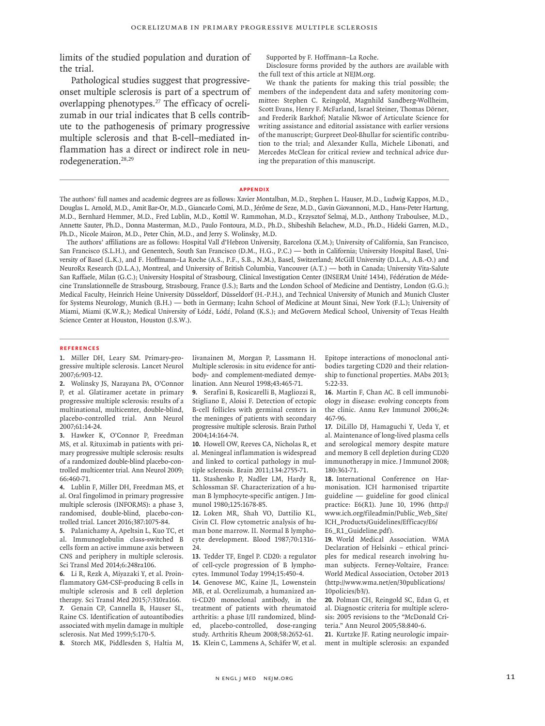limits of the studied population and duration of the trial.

Pathological studies suggest that progressiveonset multiple sclerosis is part of a spectrum of overlapping phenotypes.<sup>27</sup> The efficacy of ocrelizumab in our trial indicates that B cells contribute to the pathogenesis of primary progressive multiple sclerosis and that B-cell–mediated inflammation has a direct or indirect role in neurodegeneration.28,29

Supported by F. Hoffmann–La Roche.

Disclosure forms provided by the authors are available with the full text of this article at NEJM.org.

We thank the patients for making this trial possible; the members of the independent data and safety monitoring committee: Stephen C. Reingold, Magnhild Sandberg-Wollheim, Scott Evans, Henry F. McFarland, Israel Steiner, Thomas Dörner, and Frederik Barkhof; Natalie Nkwor of Articulate Science for writing assistance and editorial assistance with earlier versions of the manuscript; Gurpreet Deol-Bhullar for scientific contribution to the trial; and Alexander Kulla, Michele Libonati, and Mercedes McClean for critical review and technical advice during the preparation of this manuscript.

#### **Appendix**

The authors' full names and academic degrees are as follows: Xavier Montalban, M.D., Stephen L. Hauser, M.D., Ludwig Kappos, M.D., Douglas L. Arnold, M.D., Amit Bar-Or, M.D., Giancarlo Comi, M.D., Jérôme de Seze, M.D., Gavin Giovannoni, M.D., Hans-Peter Hartung, M.D., Bernhard Hemmer, M.D., Fred Lublin, M.D., Kottil W. Rammohan, M.D., Krzysztof Selmaj, M.D., Anthony Traboulsee, M.D., Annette Sauter, Ph.D., Donna Masterman, M.D., Paulo Fontoura, M.D., Ph.D., Shibeshih Belachew, M.D., Ph.D., Hideki Garren, M.D., Ph.D., Nicole Mairon, M.D., Peter Chin, M.D., and Jerry S. Wolinsky, M.D.

The authors' affiliations are as follows: Hospital Vall d'Hebron University, Barcelona (X.M.); University of California, San Francisco, San Francisco (S.L.H.), and Genentech, South San Francisco (D.M., H.G., P.C.) — both in California; University Hospital Basel, University of Basel (L.K.), and F. Hoffmann–La Roche (A.S., P.F., S.B., N.M.), Basel, Switzerland; McGill University (D.L.A., A.B.-O.) and NeuroRx Research (D.L.A.), Montreal, and University of British Columbia, Vancouver (A.T.) — both in Canada; University Vita-Salute San Raffaele, Milan (G.C.); University Hospital of Strasbourg, Clinical Investigation Center (INSERM Unité 1434), Fédération de Médecine Translationnelle de Strasbourg, Strasbourg, France (J.S.); Barts and the London School of Medicine and Dentistry, London (G.G.); Medical Faculty, Heinrich Heine University Düsseldorf, Düsseldorf (H.-P.H.), and Technical University of Munich and Munich Cluster for Systems Neurology, Munich (B.H.) — both in Germany; Icahn School of Medicine at Mount Sinai, New York (F.L.); University of Miami, Miami (K.W.R.); Medical University of Łódź, Łódź, Poland (K.S.); and McGovern Medical School, University of Texas Health Science Center at Houston, Houston (J.S.W.).

#### **References**

**1.** Miller DH, Leary SM. Primary-progressive multiple sclerosis. Lancet Neurol 2007;6:903-12.

**2.** Wolinsky JS, Narayana PA, O'Connor P, et al. Glatiramer acetate in primary progressive multiple sclerosis: results of a multinational, multicenter, double-blind, placebo-controlled trial. Ann Neurol 2007;61:14-24.

**3.** Hawker K, O'Connor P, Freedman MS, et al. Rituximab in patients with primary progressive multiple sclerosis: results of a randomized double-blind placebo-controlled multicenter trial. Ann Neurol 2009; 66:460-71.

**4.** Lublin F, Miller DH, Freedman MS, et al. Oral fingolimod in primary progressive multiple sclerosis (INFORMS): a phase 3, randomised, double-blind, placebo-controlled trial. Lancet 2016;387:1075-84.

**5.** Palanichamy A, Apeltsin L, Kuo TC, et al. Immunoglobulin class-switched B cells form an active immune axis between CNS and periphery in multiple sclerosis. Sci Transl Med 2014;6:248ra106.

**6.** Li R, Rezk A, Miyazaki Y, et al. Proinflammatory GM-CSF-producing B cells in multiple sclerosis and B cell depletion therapy. Sci Transl Med 2015;7:310ra166. **7.** Genain CP, Cannella B, Hauser SL, Raine CS. Identification of autoantibodies associated with myelin damage in multiple sclerosis. Nat Med 1999;5:170-5.

**8.** Storch MK, Piddlesden S, Haltia M,

Iivanainen M, Morgan P, Lassmann H. Multiple sclerosis: in situ evidence for antibody- and complement-mediated demyelination. Ann Neurol 1998;43:465-71.

**9.** Serafini B, Rosicarelli B, Magliozzi R, Stigliano E, Aloisi F. Detection of ectopic B-cell follicles with germinal centers in the meninges of patients with secondary progressive multiple sclerosis. Brain Pathol 2004;14:164-74.

**10.** Howell OW, Reeves CA, Nicholas R, et al. Meningeal inflammation is widespread and linked to cortical pathology in multiple sclerosis. Brain 2011;134:2755-71.

**11.** Stashenko P, Nadler LM, Hardy R, Schlossman SF. Characterization of a human B lymphocyte-specific antigen. J Immunol 1980;125:1678-85.

**12.** Loken MR, Shah VO, Dattilio KL, Civin CI. Flow cytometric analysis of human bone marrow. II. Normal B lymphocyte development. Blood 1987;70:1316-  $24.$ 

**13.** Tedder TF, Engel P. CD20: a regulator of cell-cycle progression of B lymphocytes. Immunol Today 1994;15:450-4.

**14.** Genovese MC, Kaine JL, Lowenstein MB, et al. Ocrelizumab, a humanized anti-CD20 monoclonal antibody, in the treatment of patients with rheumatoid arthritis: a phase I/II randomized, blinded, placebo-controlled, dose-ranging study. Arthritis Rheum 2008;58:2652-61. **15.** Klein C, Lammens A, Schäfer W, et al. Epitope interactions of monoclonal antibodies targeting CD20 and their relationship to functional properties. MAbs 2013; 5:22-33.

**16.** Martin F, Chan AC. B cell immunobiology in disease: evolving concepts from the clinic. Annu Rev Immunol 2006;24: 467-96.

**17.** DiLillo DJ, Hamaguchi Y, Ueda Y, et al. Maintenance of long-lived plasma cells and serological memory despite mature and memory B cell depletion during CD20 immunotherapy in mice. J Immunol 2008; 180:361-71.

**18.** International Conference on Harmonisation. ICH harmonised tripartite guideline — guideline for good clinical practice: E6(R1). June 10, 1996 (http:// www.ich.org/fileadmin/Public\_Web\_Site/ ICH\_Products/Guidelines/Efficacy/E6/ E6\_R1\_Guideline.pdf).

**19.** World Medical Association. WMA Declaration of Helsinki – ethical principles for medical research involving human subjects. Ferney-Voltaire, France: World Medical Association, October 2013 (http://www.wma.net/en/30publications/ 10policies/b3/).

**20.** Polman CH, Reingold SC, Edan G, et al. Diagnostic criteria for multiple sclerosis: 2005 revisions to the "McDonald Criteria." Ann Neurol 2005;58:840-6.

**21.** Kurtzke JF. Rating neurologic impairment in multiple sclerosis: an expanded